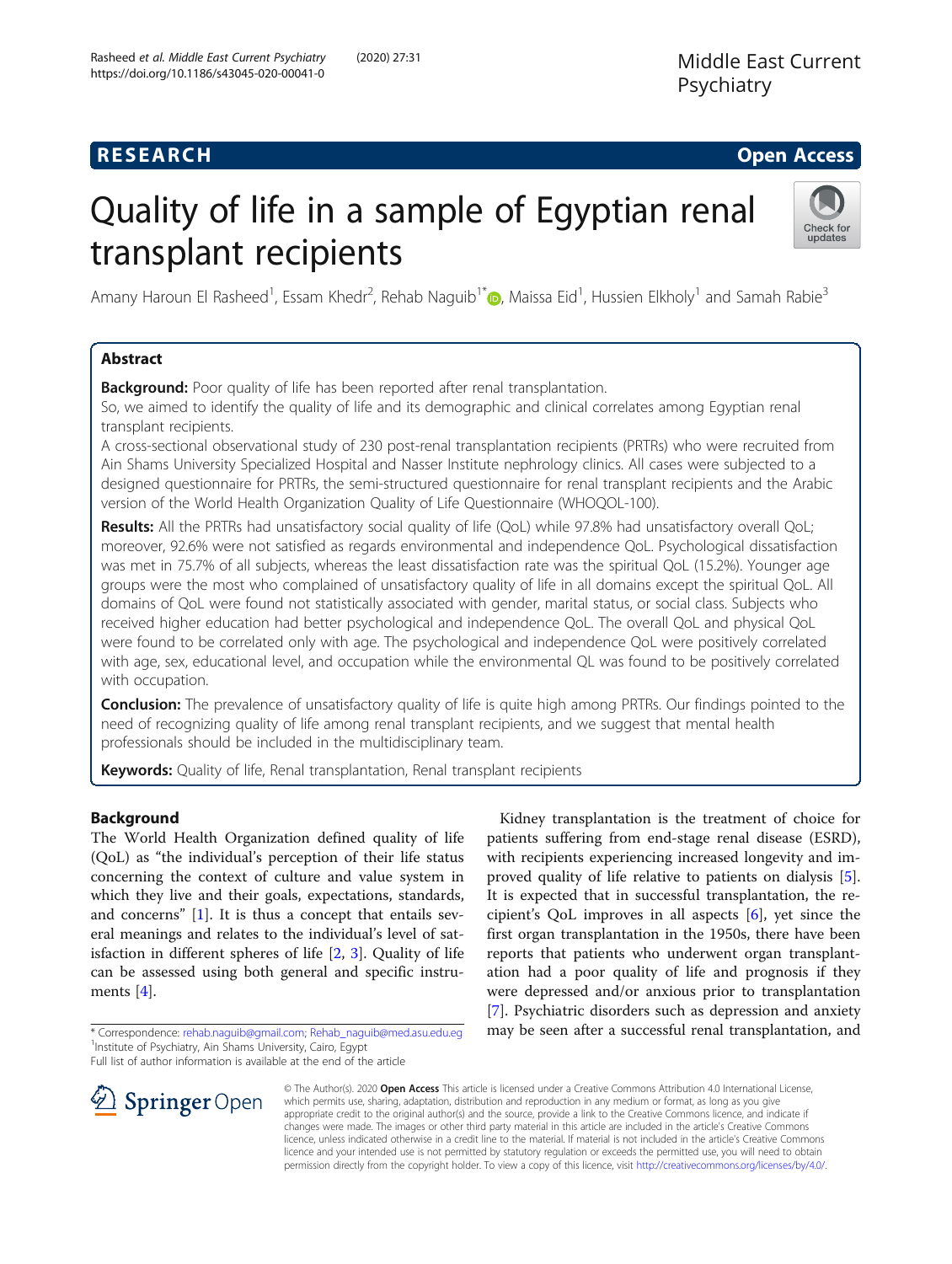# R E S EAR CH Open Access

# Quality of life in a sample of Egyptian renal transplant recipients



Amany Haroun El Rasheed<sup>1</sup>[,](http://orcid.org/0000-0003-4042-6412) Essam Khedr<sup>2</sup>, Rehab Naguib<sup>1\*</sup>®, Maissa Eid<sup>1</sup>, Hussien Elkholy<sup>1</sup> and Samah Rabie<sup>3</sup>

# Abstract

**Background:** Poor quality of life has been reported after renal transplantation.

So, we aimed to identify the quality of life and its demographic and clinical correlates among Egyptian renal transplant recipients.

A cross-sectional observational study of 230 post-renal transplantation recipients (PRTRs) who were recruited from Ain Shams University Specialized Hospital and Nasser Institute nephrology clinics. All cases were subjected to a designed questionnaire for PRTRs, the semi-structured questionnaire for renal transplant recipients and the Arabic version of the World Health Organization Quality of Life Questionnaire (WHOQOL-100).

Results: All the PRTRs had unsatisfactory social quality of life (QoL) while 97.8% had unsatisfactory overall QoL; moreover, 92.6% were not satisfied as regards environmental and independence QoL. Psychological dissatisfaction was met in 75.7% of all subjects, whereas the least dissatisfaction rate was the spiritual QoL (15.2%). Younger age groups were the most who complained of unsatisfactory quality of life in all domains except the spiritual QoL. All domains of QoL were found not statistically associated with gender, marital status, or social class. Subjects who received higher education had better psychological and independence QoL. The overall QoL and physical QoL were found to be correlated only with age. The psychological and independence QoL were positively correlated with age, sex, educational level, and occupation while the environmental QL was found to be positively correlated with occupation.

**Conclusion:** The prevalence of unsatisfactory quality of life is quite high among PRTRs. Our findings pointed to the need of recognizing quality of life among renal transplant recipients, and we suggest that mental health professionals should be included in the multidisciplinary team.

**Keywords:** Quality of life, Renal transplantation, Renal transplant recipients

# Background

The World Health Organization defined quality of life (QoL) as "the individual's perception of their life status concerning the context of culture and value system in which they live and their goals, expectations, standards, and concerns" [\[1\]](#page-8-0). It is thus a concept that entails several meanings and relates to the individual's level of satisfaction in different spheres of life [[2,](#page-8-0) [3](#page-8-0)]. Quality of life can be assessed using both general and specific instruments [[4\]](#page-8-0).

Full list of author information is available at the end of the article





© The Author(s). 2020 Open Access This article is licensed under a Creative Commons Attribution 4.0 International License, which permits use, sharing, adaptation, distribution and reproduction in any medium or format, as long as you give appropriate credit to the original author(s) and the source, provide a link to the Creative Commons licence, and indicate if changes were made. The images or other third party material in this article are included in the article's Creative Commons licence, unless indicated otherwise in a credit line to the material. If material is not included in the article's Creative Commons licence and your intended use is not permitted by statutory regulation or exceeds the permitted use, you will need to obtain permission directly from the copyright holder. To view a copy of this licence, visit <http://creativecommons.org/licenses/by/4.0/>.

<sup>\*</sup> Correspondence: [rehab.naguib@gmail.com;](mailto:rehab.naguib@gmail.com) [Rehab\\_naguib@med.asu.edu.eg](mailto:Rehab_naguib@med.asu.edu.eg) <sup>1</sup> <sup>1</sup> Institute of Psychiatry, Ain Shams University, Cairo, Egypt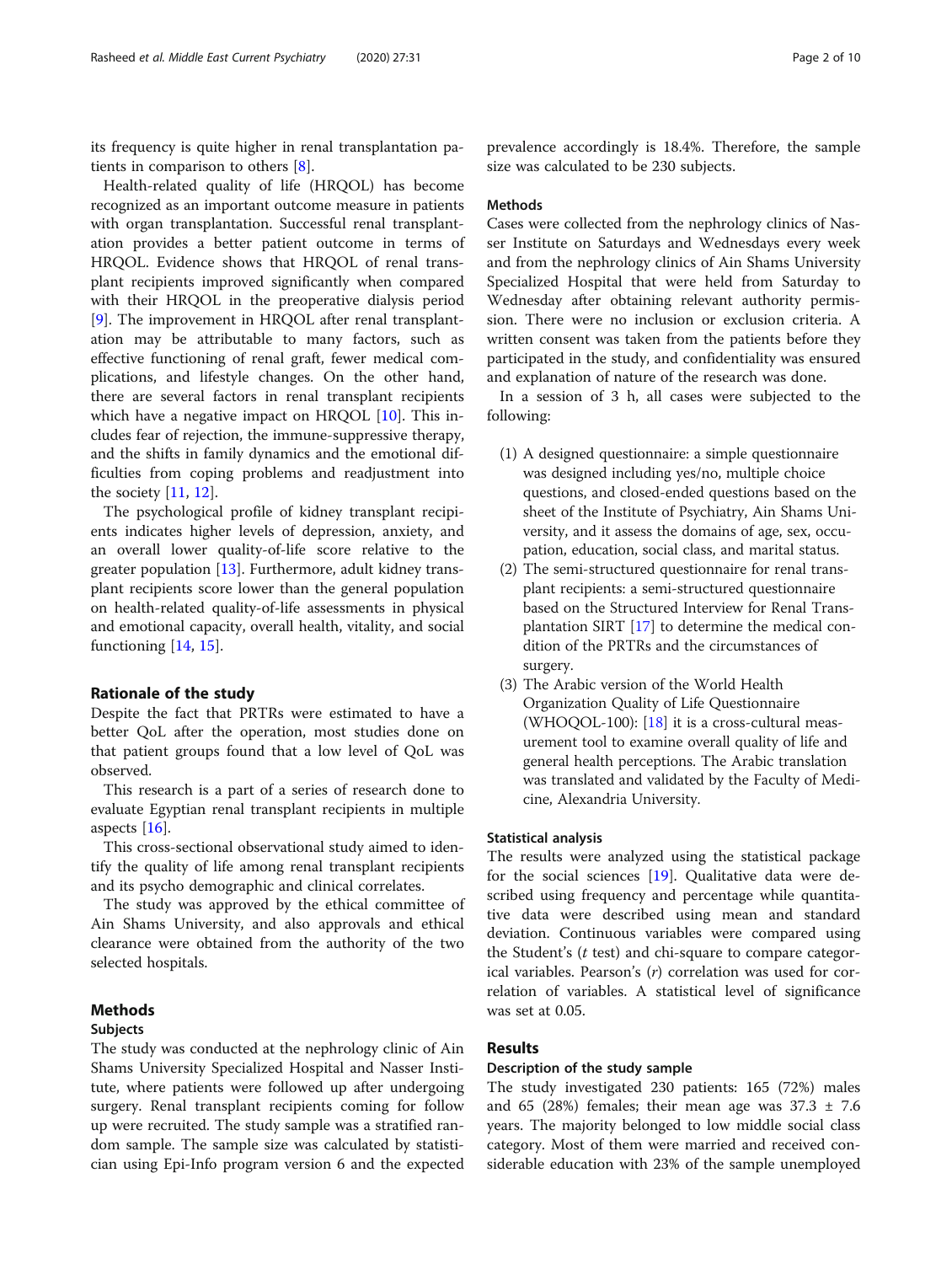its frequency is quite higher in renal transplantation patients in comparison to others [[8\]](#page-8-0).

Health-related quality of life (HRQOL) has become recognized as an important outcome measure in patients with organ transplantation. Successful renal transplantation provides a better patient outcome in terms of HRQOL. Evidence shows that HRQOL of renal transplant recipients improved significantly when compared with their HRQOL in the preoperative dialysis period [[9\]](#page-8-0). The improvement in HRQOL after renal transplantation may be attributable to many factors, such as effective functioning of renal graft, fewer medical complications, and lifestyle changes. On the other hand, there are several factors in renal transplant recipients which have a negative impact on HRQOL [[10](#page-8-0)]. This includes fear of rejection, the immune-suppressive therapy, and the shifts in family dynamics and the emotional difficulties from coping problems and readjustment into the society [\[11](#page-8-0), [12](#page-8-0)].

The psychological profile of kidney transplant recipients indicates higher levels of depression, anxiety, and an overall lower quality-of-life score relative to the greater population [\[13\]](#page-8-0). Furthermore, adult kidney transplant recipients score lower than the general population on health-related quality-of-life assessments in physical and emotional capacity, overall health, vitality, and social functioning [[14,](#page-8-0) [15](#page-8-0)].

# Rationale of the study

Despite the fact that PRTRs were estimated to have a better QoL after the operation, most studies done on that patient groups found that a low level of QoL was observed.

This research is a part of a series of research done to evaluate Egyptian renal transplant recipients in multiple aspects  $[16]$  $[16]$ .

This cross-sectional observational study aimed to identify the quality of life among renal transplant recipients and its psycho demographic and clinical correlates.

The study was approved by the ethical committee of Ain Shams University, and also approvals and ethical clearance were obtained from the authority of the two selected hospitals.

# Methods

### Subjects

The study was conducted at the nephrology clinic of Ain Shams University Specialized Hospital and Nasser Institute, where patients were followed up after undergoing surgery. Renal transplant recipients coming for follow up were recruited. The study sample was a stratified random sample. The sample size was calculated by statistician using Epi-Info program version 6 and the expected

prevalence accordingly is 18.4%. Therefore, the sample size was calculated to be 230 subjects.

### Methods

Cases were collected from the nephrology clinics of Nasser Institute on Saturdays and Wednesdays every week and from the nephrology clinics of Ain Shams University Specialized Hospital that were held from Saturday to Wednesday after obtaining relevant authority permission. There were no inclusion or exclusion criteria. A written consent was taken from the patients before they participated in the study, and confidentiality was ensured and explanation of nature of the research was done.

In a session of 3 h, all cases were subjected to the following:

- (1) A designed questionnaire: a simple questionnaire was designed including yes/no, multiple choice questions, and closed-ended questions based on the sheet of the Institute of Psychiatry, Ain Shams University, and it assess the domains of age, sex, occupation, education, social class, and marital status.
- (2) The semi-structured questionnaire for renal transplant recipients: a semi-structured questionnaire based on the Structured Interview for Renal Transplantation SIRT [\[17](#page-8-0)] to determine the medical condition of the PRTRs and the circumstances of surgery.
- (3) The Arabic version of the World Health Organization Quality of Life Questionnaire (WHOQOL-100):  $[18]$  $[18]$  it is a cross-cultural measurement tool to examine overall quality of life and general health perceptions. The Arabic translation was translated and validated by the Faculty of Medicine, Alexandria University.

# Statistical analysis

The results were analyzed using the statistical package for the social sciences [[19\]](#page-8-0). Qualitative data were described using frequency and percentage while quantitative data were described using mean and standard deviation. Continuous variables were compared using the Student's  $(t \text{ test})$  and chi-square to compare categorical variables. Pearson's (r) correlation was used for correlation of variables. A statistical level of significance was set at 0.05.

# Results

# Description of the study sample

The study investigated 230 patients: 165 (72%) males and 65 (28%) females; their mean age was  $37.3 \pm 7.6$ years. The majority belonged to low middle social class category. Most of them were married and received considerable education with 23% of the sample unemployed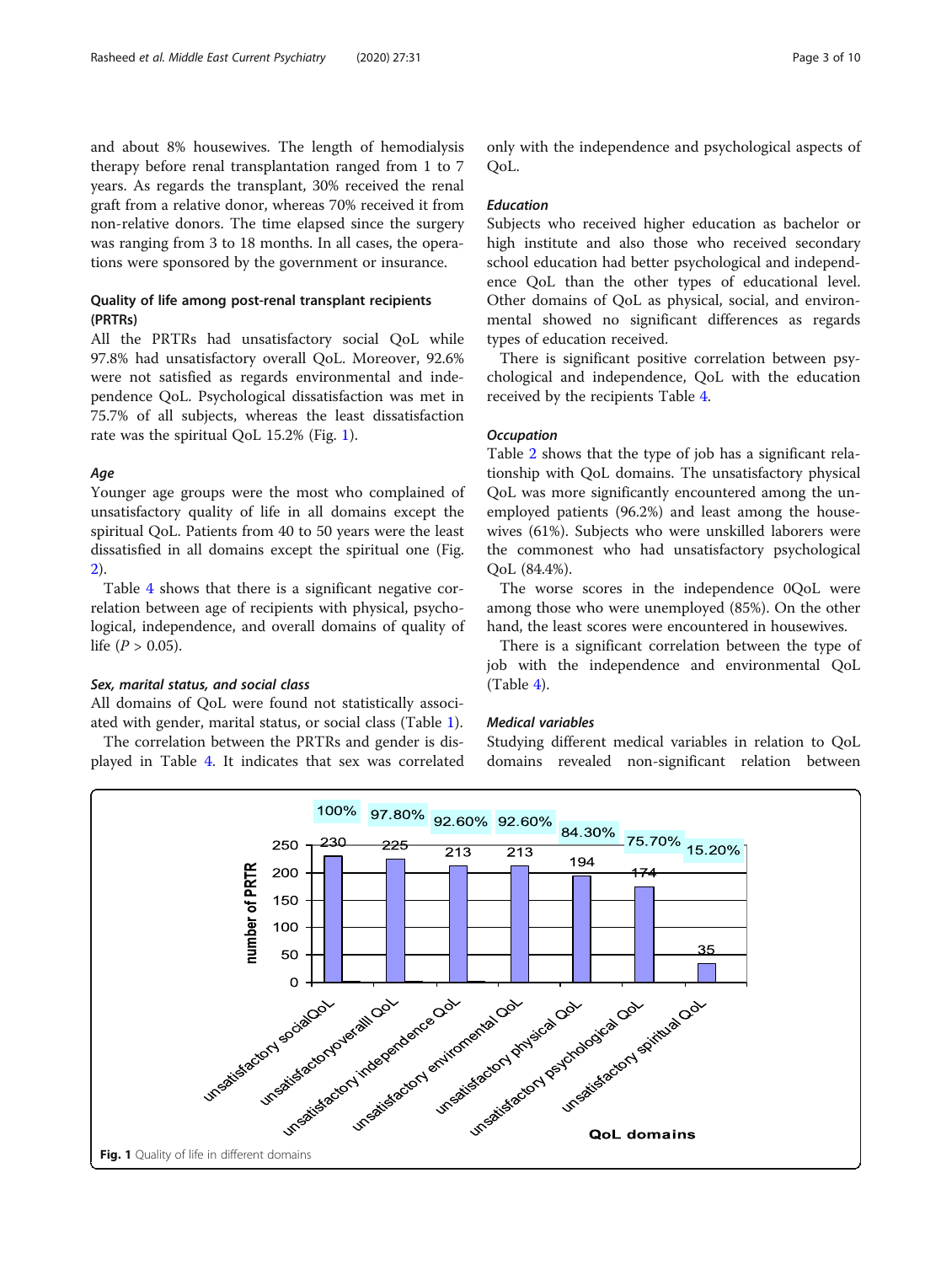and about 8% housewives. The length of hemodialysis therapy before renal transplantation ranged from 1 to 7 years. As regards the transplant, 30% received the renal graft from a relative donor, whereas 70% received it from non-relative donors. The time elapsed since the surgery was ranging from 3 to 18 months. In all cases, the operations were sponsored by the government or insurance.

# Quality of life among post-renal transplant recipients (PRTRs)

All the PRTRs had unsatisfactory social QoL while 97.8% had unsatisfactory overall QoL. Moreover, 92.6% were not satisfied as regards environmental and independence QoL. Psychological dissatisfaction was met in 75.7% of all subjects, whereas the least dissatisfaction rate was the spiritual QoL 15.2% (Fig. 1).

# Age

Younger age groups were the most who complained of unsatisfactory quality of life in all domains except the spiritual QoL. Patients from 40 to 50 years were the least dissatisfied in all domains except the spiritual one (Fig. [2\)](#page-3-0).

Table [4](#page-7-0) shows that there is a significant negative correlation between age of recipients with physical, psychological, independence, and overall domains of quality of life ( $P > 0.05$ ).

# Sex, marital status, and social class

All domains of QoL were found not statistically associated with gender, marital status, or social class (Table [1](#page-4-0)).

The correlation between the PRTRs and gender is displayed in Table [4.](#page-7-0) It indicates that sex was correlated only with the independence and psychological aspects of QoL.

# Education

Subjects who received higher education as bachelor or high institute and also those who received secondary school education had better psychological and independence QoL than the other types of educational level. Other domains of QoL as physical, social, and environmental showed no significant differences as regards types of education received.

There is significant positive correlation between psychological and independence, QoL with the education received by the recipients Table [4.](#page-7-0)

# **Occupation**

Table [2](#page-5-0) shows that the type of job has a significant relationship with QoL domains. The unsatisfactory physical QoL was more significantly encountered among the unemployed patients (96.2%) and least among the housewives (61%). Subjects who were unskilled laborers were the commonest who had unsatisfactory psychological QoL (84.4%).

The worse scores in the independence 0QoL were among those who were unemployed (85%). On the other hand, the least scores were encountered in housewives.

There is a significant correlation between the type of job with the independence and environmental QoL (Table [4\)](#page-7-0).

# Medical variables

Studying different medical variables in relation to QoL domains revealed non-significant relation between

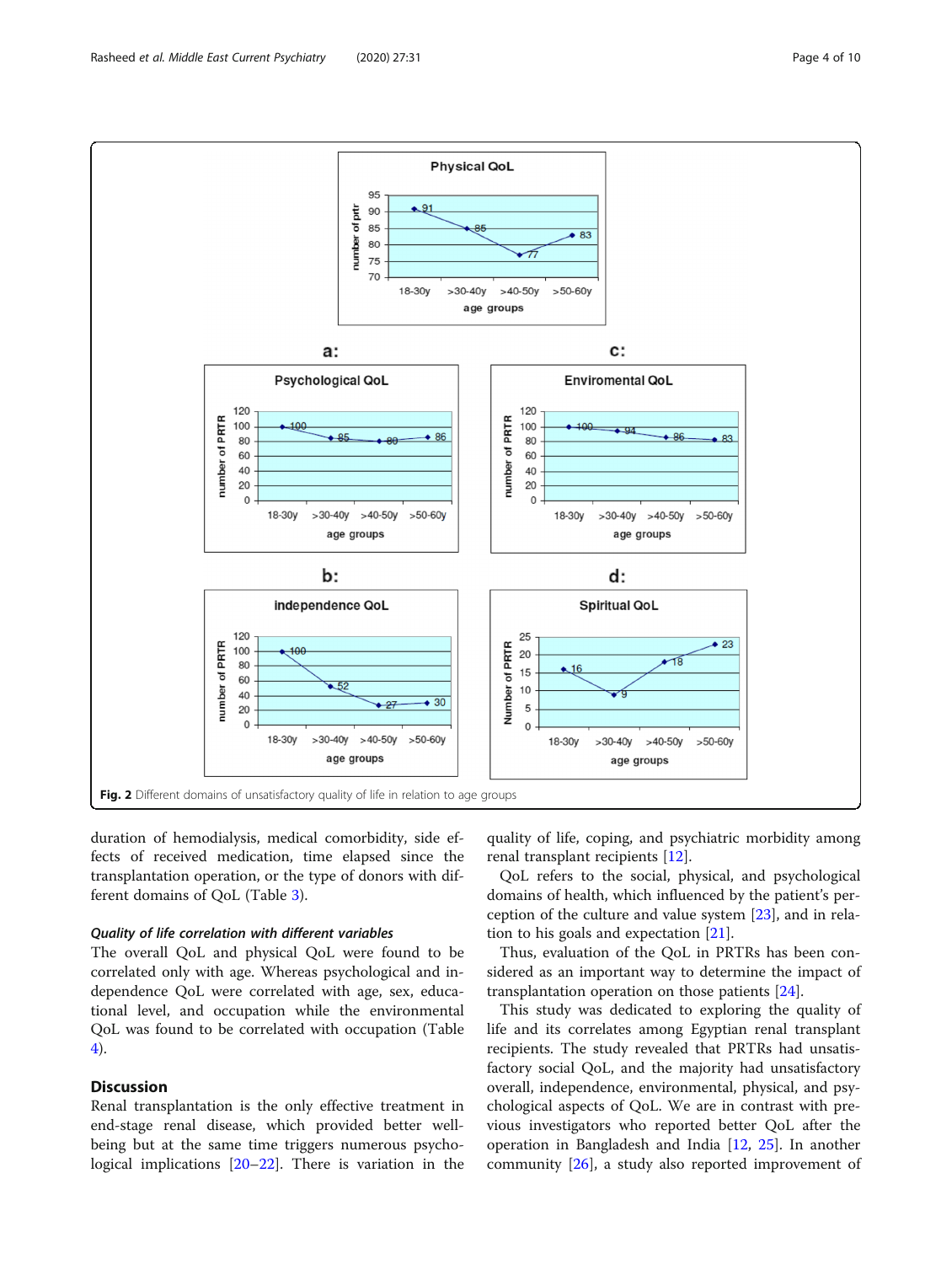<span id="page-3-0"></span>

duration of hemodialysis, medical comorbidity, side effects of received medication, time elapsed since the transplantation operation, or the type of donors with different domains of QoL (Table [3](#page-6-0)).

# Quality of life correlation with different variables

The overall QoL and physical QoL were found to be correlated only with age. Whereas psychological and independence QoL were correlated with age, sex, educational level, and occupation while the environmental QoL was found to be correlated with occupation (Table [4\)](#page-7-0).

# **Discussion**

Renal transplantation is the only effective treatment in end-stage renal disease, which provided better wellbeing but at the same time triggers numerous psychological implications [\[20](#page-8-0)–[22](#page-8-0)]. There is variation in the quality of life, coping, and psychiatric morbidity among renal transplant recipients [[12\]](#page-8-0).

QoL refers to the social, physical, and psychological domains of health, which influenced by the patient's perception of the culture and value system [[23\]](#page-9-0), and in relation to his goals and expectation [\[21](#page-8-0)].

Thus, evaluation of the QoL in PRTRs has been considered as an important way to determine the impact of transplantation operation on those patients [[24\]](#page-9-0).

This study was dedicated to exploring the quality of life and its correlates among Egyptian renal transplant recipients. The study revealed that PRTRs had unsatisfactory social QoL, and the majority had unsatisfactory overall, independence, environmental, physical, and psychological aspects of QoL. We are in contrast with previous investigators who reported better QoL after the operation in Bangladesh and India [\[12](#page-8-0), [25](#page-9-0)]. In another community [[26\]](#page-9-0), a study also reported improvement of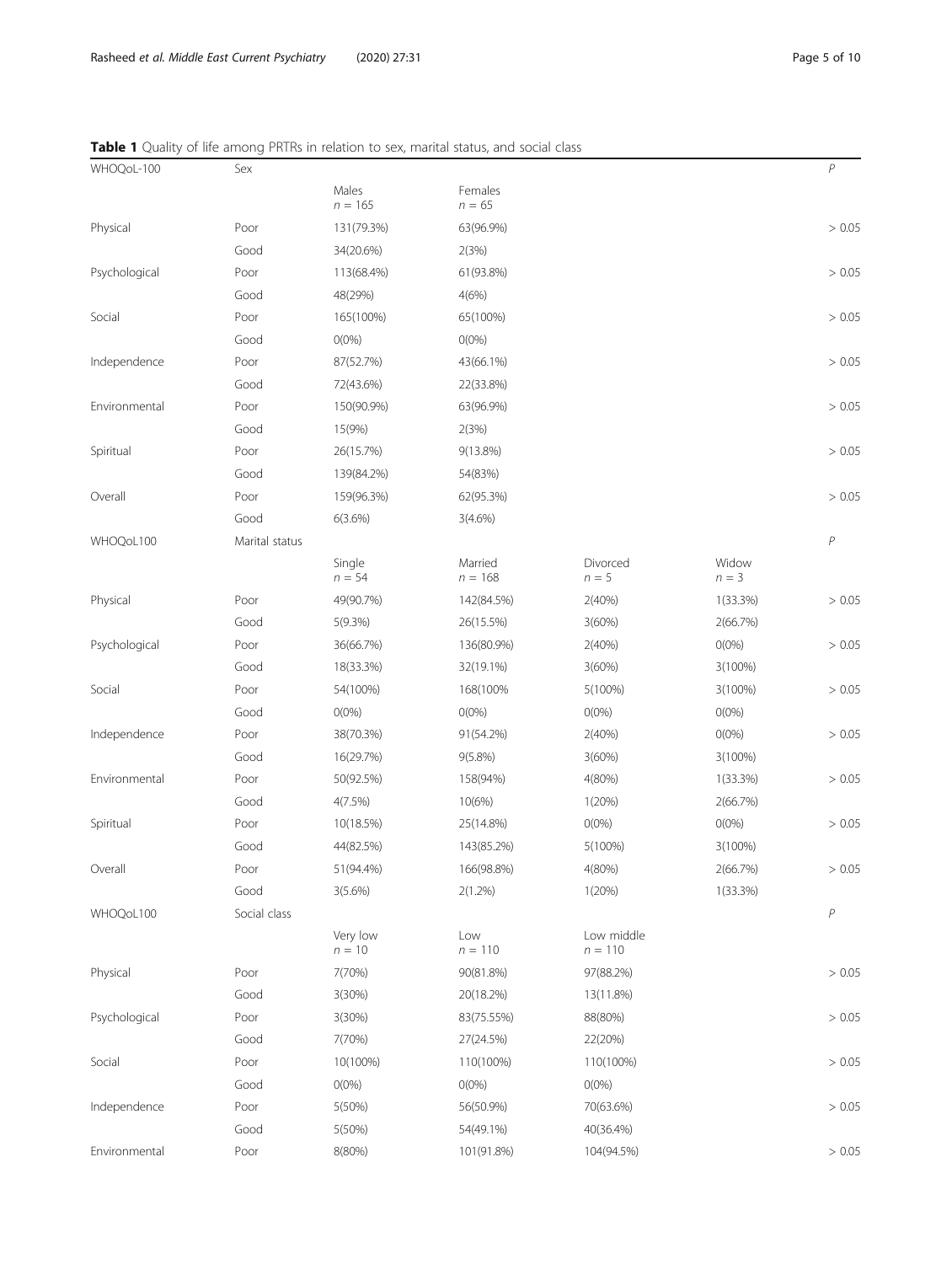# <span id="page-4-0"></span>Table 1 Quality of life among PRTRs in relation to sex, marital status, and social class

| WHOQoL-100    | Sex            |                      |                      |                         |                  | P      |
|---------------|----------------|----------------------|----------------------|-------------------------|------------------|--------|
|               |                | Males<br>$n = 165$   | Females<br>$n = 65$  |                         |                  |        |
| Physical      | Poor           | 131(79.3%)           | 63(96.9%)            |                         |                  | > 0.05 |
|               | Good           | 34(20.6%)            | 2(3%)                |                         |                  |        |
| Psychological | Poor           | 113(68.4%)           | 61(93.8%)            |                         |                  | > 0.05 |
|               | Good           | 48(29%)              | 4(6%)                |                         |                  |        |
| Social        | Poor           | 165(100%)            | 65(100%)             |                         |                  | > 0.05 |
|               | Good           | $O(0\%)$             | $O(0\%)$             |                         |                  |        |
| Independence  | Poor           | 87(52.7%)            | 43(66.1%)            |                         |                  | > 0.05 |
|               | Good           | 72(43.6%)            | 22(33.8%)            |                         |                  |        |
| Environmental | Poor           | 150(90.9%)           | 63(96.9%)            |                         |                  | > 0.05 |
|               | Good           | 15(9%)               | 2(3%)                |                         |                  |        |
| Spiritual     | Poor           | 26(15.7%)            | 9(13.8%)             |                         |                  | > 0.05 |
|               | Good           | 139(84.2%)           | 54(83%)              |                         |                  |        |
| Overall       | Poor           | 159(96.3%)           | 62(95.3%)            |                         |                  | > 0.05 |
|               | Good           | 6(3.6%)              | $3(4.6\%)$           |                         |                  |        |
| WHOQoL100     | Marital status |                      |                      |                         |                  | $\,P$  |
|               |                | Single<br>$n = 54$   | Married<br>$n = 168$ | Divorced<br>$n = 5$     | Widow<br>$n = 3$ |        |
| Physical      | Poor           | 49(90.7%)            | 142(84.5%)           | 2(40%)                  | 1(33.3%)         | > 0.05 |
|               | Good           | 5(9.3%)              | 26(15.5%)            | 3(60%)                  | 2(66.7%)         |        |
| Psychological | Poor           | 36(66.7%)            | 136(80.9%)           | 2(40%)                  | $O(0\%)$         | > 0.05 |
|               | Good           | 18(33.3%)            | 32(19.1%)            | 3(60%)                  | 3(100%)          |        |
| Social        | Poor           | 54(100%)             | 168(100%             | 5(100%)                 | 3(100%)          | > 0.05 |
|               | Good           | $O(0\%)$             | $O(0\%)$             | $O(0\%)$                | $O(0\%)$         |        |
| Independence  | Poor           | 38(70.3%)            | 91(54.2%)            | 2(40%)                  | $O(0\%)$         | > 0.05 |
|               | Good           | 16(29.7%)            | $9(5.8\%)$           | 3(60%)                  | $3(100\%)$       |        |
| Environmental | Poor           | 50(92.5%)            | 158(94%)             | 4(80%)                  | $1(33.3\%)$      | > 0.05 |
|               | Good           | 4(7.5%)              | 10(6%)               | 1(20%)                  | 2(66.7%)         |        |
| Spiritual     | Poor           | 10(18.5%)            | 25(14.8%)            | $O(0\%)$                | $O(0\%)$         | > 0.05 |
|               | Good           | 44(82.5%)            | 143(85.2%)           | 5(100%)                 | 3(100%)          |        |
| Overall       | Poor           | 51(94.4%)            | 166(98.8%)           | 4(80%)                  | 2(66.7%)         | > 0.05 |
|               | Good           | $3(5.6\%)$           | $2(1.2\%)$           | 1(20%)                  | $1(33.3\%)$      |        |
| WHOQoL100     | Social class   |                      |                      |                         |                  | $\,P$  |
|               |                | Very low<br>$n = 10$ | Low<br>$n = 110$     | Low middle<br>$n = 110$ |                  |        |
| Physical      | Poor           | 7(70%)               | 90(81.8%)            | 97(88.2%)               |                  | > 0.05 |
|               | Good           | 3(30%)               | 20(18.2%)            | 13(11.8%)               |                  |        |
| Psychological | Poor           | 3(30%)               | 83(75.55%)           | 88(80%)                 |                  | > 0.05 |
|               | Good           | 7(70%)               | 27(24.5%)            | 22(20%)                 |                  |        |
| Social        | Poor           | 10(100%)             | 110(100%)            | 110(100%)               |                  | > 0.05 |
|               | Good           | $O(0\%)$             | $0(0\%)$             | $O(0\%)$                |                  |        |
| Independence  | Poor           | 5(50%)               | 56(50.9%)            | 70(63.6%)               |                  | > 0.05 |
|               | Good           | 5(50%)               | 54(49.1%)            | 40(36.4%)               |                  |        |
| Environmental | Poor           | 8(80%)               | 101(91.8%)           | 104(94.5%)              |                  | > 0.05 |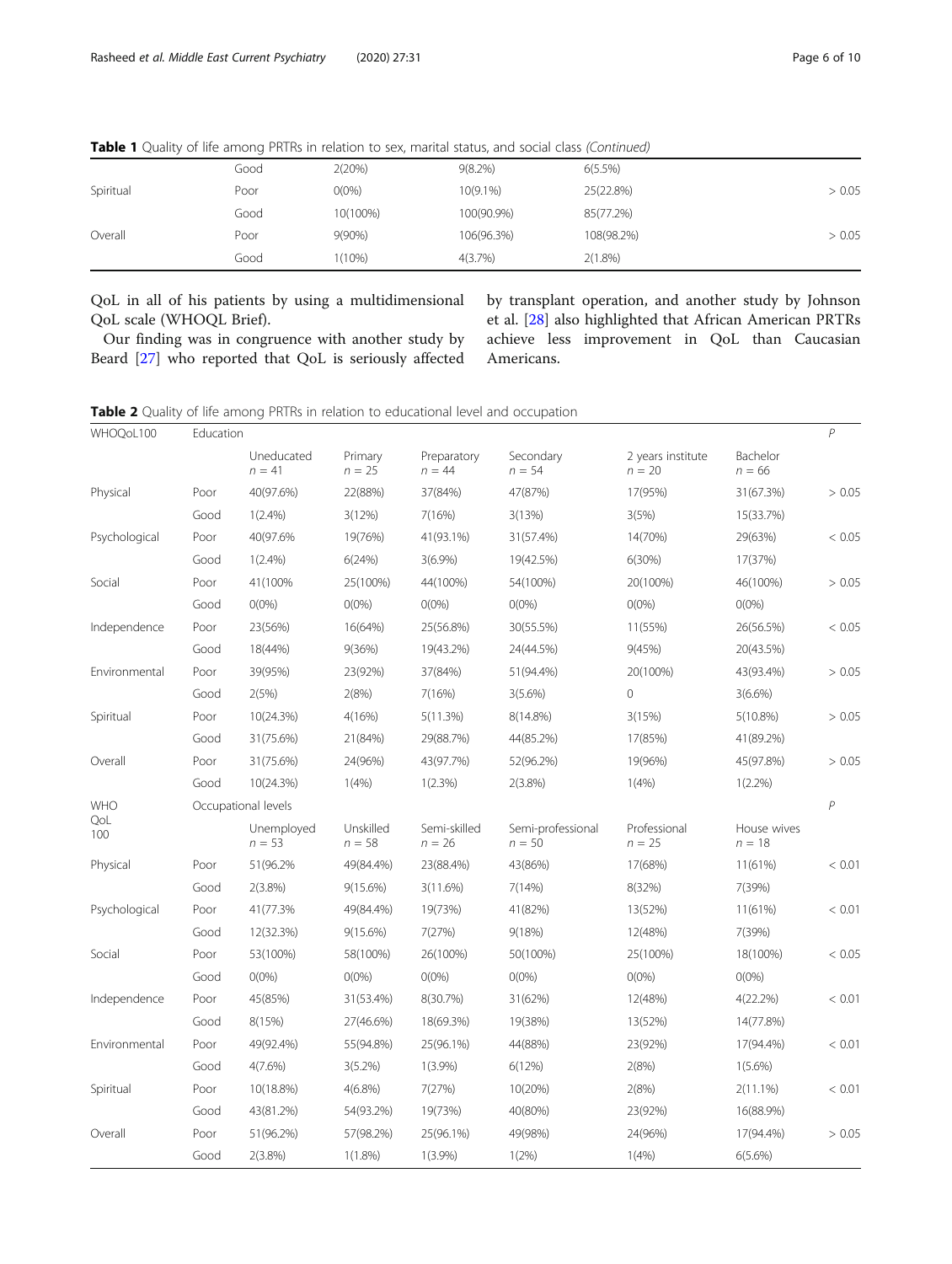|           | Good | 2(20%)    | $9(8.2\%)$  | $6(5.5\%)$ |        |
|-----------|------|-----------|-------------|------------|--------|
| Spiritual | Poor | $O(0\%)$  | $10(9.1\%)$ | 25(22.8%)  | > 0.05 |
|           | Good | 10(100%)  | 100(90.9%)  | 85(77.2%)  |        |
| Overall   | Poor | $9(90\%)$ | 106(96.3%)  | 108(98.2%) | > 0.05 |
|           | Good | $1(10\%)$ | 4(3.7%)     | 2(1.8%)    |        |

<span id="page-5-0"></span>Table 1 Quality of life among PRTRs in relation to sex, marital status, and social class (Continued)

QoL in all of his patients by using a multidimensional QoL scale (WHOQL Brief).

Our finding was in congruence with another study by Beard [[27](#page-9-0)] who reported that QoL is seriously affected by transplant operation, and another study by Johnson et al. [[28\]](#page-9-0) also highlighted that African American PRTRs achieve less improvement in QoL than Caucasian Americans.

| <b>Table 2</b> Quality of life among PRTRs in relation to educational level and occupation |  |  |  |  |
|--------------------------------------------------------------------------------------------|--|--|--|--|
|--------------------------------------------------------------------------------------------|--|--|--|--|

| WHOQoL100     | Education |                        |                       |                          |                               |                               |                         | $\mathcal P$ |
|---------------|-----------|------------------------|-----------------------|--------------------------|-------------------------------|-------------------------------|-------------------------|--------------|
|               |           | Uneducated<br>$n = 41$ | Primary<br>$n = 25$   | Preparatory<br>$n = 44$  | Secondary<br>$n = 54$         | 2 years institute<br>$n = 20$ | Bachelor<br>$n = 66$    |              |
| Physical      | Poor      | 40(97.6%)              | 22(88%)               | 37(84%)                  | 47(87%)                       | 17(95%)                       | 31(67.3%)               | > 0.05       |
|               | Good      | 1(2.4%)                | 3(12%)                | 7(16%)                   | 3(13%)                        | 3(5%)                         | 15(33.7%)               |              |
| Psychological | Poor      | 40(97.6%               | 19(76%)               | 41(93.1%)                | 31(57.4%)                     | 14(70%)                       | 29(63%)                 | < 0.05       |
|               | Good      | $1(2.4\%)$             | 6(24%)                | $3(6.9\%)$               | 19(42.5%)                     | 6(30%)                        | 17(37%)                 |              |
| Social        | Poor      | 41(100%                | 25(100%)              | 44(100%)                 | 54(100%)                      | 20(100%)                      | 46(100%)                | > 0.05       |
|               | Good      | $O(0\%)$               | $O(0\%)$              | $O(0\%)$                 | $0(0\%)$                      | $O(0\%)$                      | $O(0\%)$                |              |
| Independence  | Poor      | 23(56%)                | 16(64%)               | 25(56.8%)                | 30(55.5%)                     | 11(55%)                       | 26(56.5%)               | < 0.05       |
|               | Good      | 18(44%)                | 9(36%)                | 19(43.2%)                | 24(44.5%)                     | 9(45%)                        | 20(43.5%)               |              |
| Environmental | Poor      | 39(95%)                | 23(92%)               | 37(84%)                  | 51(94.4%)                     | 20(100%)                      | 43(93.4%)               | > 0.05       |
|               | Good      | 2(5%)                  | 2(8%)                 | 7(16%)                   | $3(5.6\%)$                    | $\mathsf{O}\xspace$           | 3(6.6%)                 |              |
| Spiritual     | Poor      | 10(24.3%)              | 4(16%)                | 5(11.3%)                 | 8(14.8%)                      | 3(15%)                        | $5(10.8\%)$             | > 0.05       |
|               | Good      | 31(75.6%)              | 21(84%)               | 29(88.7%)                | 44(85.2%)                     | 17(85%)                       | 41(89.2%)               |              |
| Overall       | Poor      | 31(75.6%)              | 24(96%)               | 43(97.7%)                | 52(96.2%)                     | 19(96%)                       | 45(97.8%)               | > 0.05       |
|               | Good      | 10(24.3%)              | 1(4%)                 | 1(2.3%)                  | $2(3.8\%)$                    | 1(4% )                        | $1(2.2\%)$              |              |
| <b>WHO</b>    |           | Occupational levels    |                       |                          |                               |                               |                         | P            |
| QoL<br>100    |           | Unemployed<br>$n = 53$ | Unskilled<br>$n = 58$ | Semi-skilled<br>$n = 26$ | Semi-professional<br>$n = 50$ | Professional<br>$n = 25$      | House wives<br>$n = 18$ |              |
| Physical      | Poor      | 51(96.2%               | 49(84.4%)             | 23(88.4%)                | 43(86%)                       | 17(68%)                       | 11(61%)                 | < 0.01       |
|               | Good      | $2(3.8\%)$             | $9(15.6\%)$           | 3(11.6%)                 | 7(14%)                        | 8(32%)                        | 7(39%)                  |              |
| Psychological | Poor      | 41(77.3%               | 49(84.4%)             | 19(73%)                  | 41(82%)                       | 13(52%)                       | 11(61%)                 | < 0.01       |
|               | Good      | 12(32.3%)              | $9(15.6\%)$           | 7(27%)                   | 9(18%)                        | 12(48%)                       | 7(39%)                  |              |
| Social        | Poor      | 53(100%)               | 58(100%)              | 26(100%)                 | 50(100%)                      | 25(100%)                      | 18(100%)                | < 0.05       |
|               | Good      | $O(0\%)$               | $O(0\%)$              | $O(0\%)$                 | $O(0\%)$                      | $O(0\%)$                      | $O(0\%)$                |              |
| Independence  | Poor      | 45(85%)                | 31(53.4%)             | 8(30.7%)                 | 31(62%)                       | 12(48%)                       | 4(22.2%)                | < 0.01       |
|               | Good      | 8(15%)                 | 27(46.6%)             | 18(69.3%)                | 19(38%)                       | 13(52%)                       | 14(77.8%)               |              |
| Environmental | Poor      | 49(92.4%)              | 55(94.8%)             | 25(96.1%)                | 44(88%)                       | 23(92%)                       | 17(94.4%)               | < 0.01       |
|               | Good      | 4(7.6%)                | 3(5.2%)               | $1(3.9\%)$               | 6(12%)                        | 2(8%)                         | $1(5.6\%)$              |              |
| Spiritual     | Poor      | 10(18.8%)              | $4(6.8\%)$            | 7(27%)                   | 10(20%)                       | 2(8%)                         | $2(11.1\%)$             | < 0.01       |
|               | Good      | 43(81.2%)              | 54(93.2%)             | 19(73%)                  | 40(80%)                       | 23(92%)                       | 16(88.9%)               |              |
| Overall       | Poor      | 51(96.2%)              | 57(98.2%)             | 25(96.1%)                | 49(98%)                       | 24(96%)                       | 17(94.4%)               | > 0.05       |
|               | Good      | $2(3.8\%)$             | $1(1.8\%)$            | $1(3.9\%)$               | 1(2%)                         | 1(4% )                        | 6(5.6%)                 |              |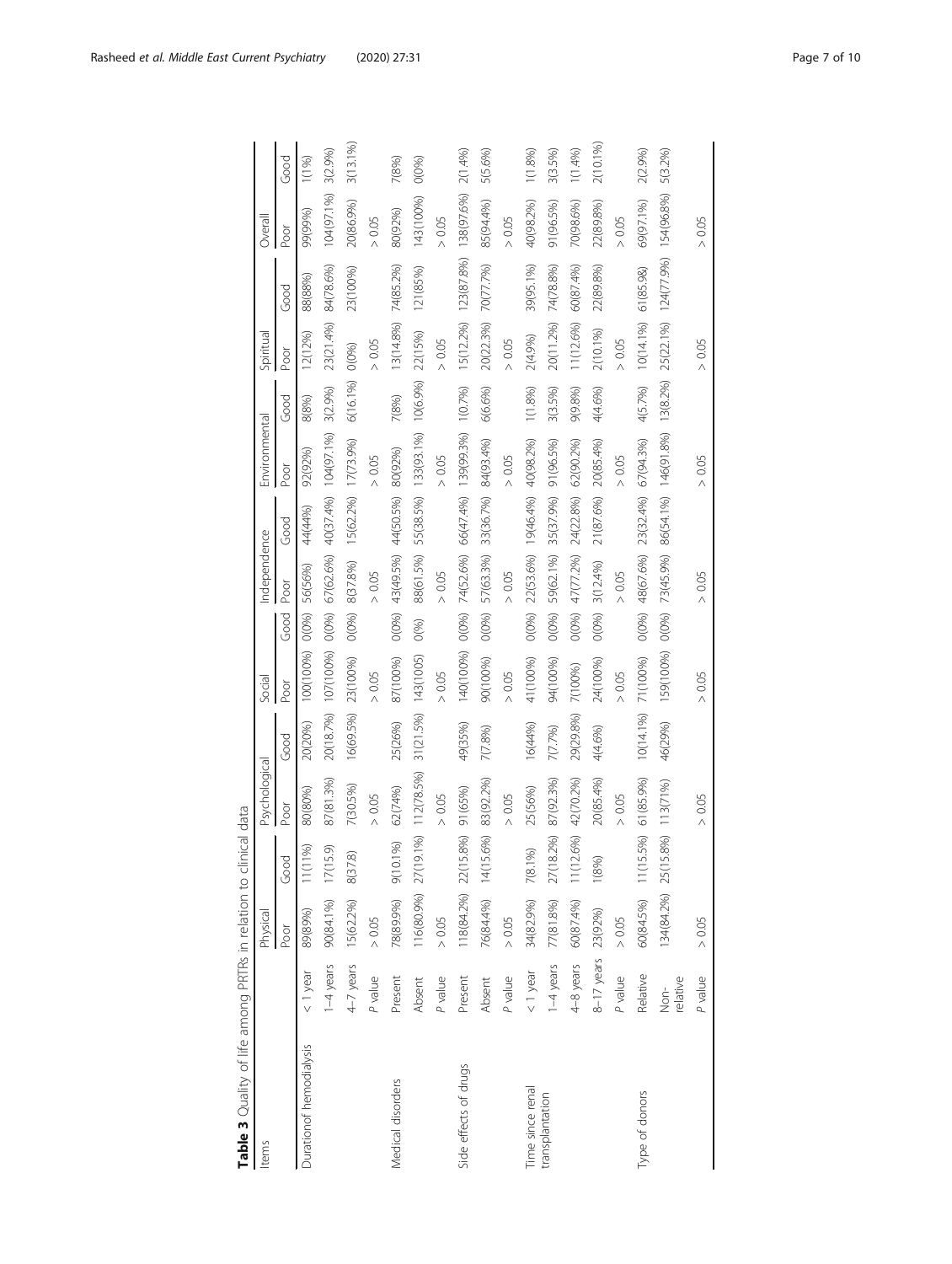<span id="page-6-0"></span>

| Items                   |                 | Physical             |                | Psychological |                         | Social              |          | Independence |                     | Environmental                           |          | Spiritual            |            | Overall    |             |
|-------------------------|-----------------|----------------------|----------------|---------------|-------------------------|---------------------|----------|--------------|---------------------|-----------------------------------------|----------|----------------------|------------|------------|-------------|
|                         |                 | Poor                 | Good           | Poor          | Good                    | Poor                | Good     | Poor         | Good                | Poor                                    | Good     | Poor                 | Good       | Poor       | Good        |
| Durationof hemodialysis | $< 1$ year      | 89(89%)              | S)<br>11(11)   | 80(80%)       | 20(20%)                 | 100(100%)           | 0(0%)    | 56(56%)      | 44(44%)             | 92(92%)                                 | 8(8%)    | 12(12%)              | 88(88%)    | 99(99%)    | 1(1%)       |
|                         | $1-4$ years     | 90(84.1%)            | 17(15.9)       | 87(81.3%)     |                         | 20(18.7%) 107(100%) | $O(0\%)$ | 67(62.6%)    |                     | 40(37.4%) 104(97.1%)                    | 3(2.9%)  | 23(21.4%)            | 84(78.6%)  | 104(97.1%) | 3(2.9%)     |
|                         | 4-7 years       | 15(62.2%)            | 8(37.8)        | 7(30.5%)      | 16(69.5%)               | 23(100%)            | O(O%)    | 8(37.8%)     | 15(62.2%) 17(73.9%) |                                         | 6(16.1%) | O(0%)                | 23(100%)   | 20(86.9%)  | $3(13.1\%)$ |
|                         | P value         | $> 0.05$             |                | > 0.05        |                         | $> 0.05$            |          | $> 0.05$     |                     | $> 0.05$                                |          | > 0.05               |            | > 0.05     |             |
| Medical disorders       | Present         | 78(89.9%)            | F<br>0101      | 62(74%)       | 25(26%)                 | 87(100%)            | O(0%)    | 43(49.5%)    | 44(50.5%)           | 80(92%)                                 | 7(8%)    | 13(14.8%)            | 74(85.2%)  | 80(92%)    | 7(8%)       |
|                         | Absent          | 116(80.9%) 27(19.1%) |                | 12(78.5%)     | $31(21.5%)$ $143(1005)$ |                     | O(96)    | 88(61.5%)    | 55(38.5%)           | 133(93.1%)                              | 10(6.9%) | 22(15%)              | 121(85%)   | 143(100%)  | O(0%)       |
|                         | P value         | $> 0.05$             |                | $>0.05$       |                         | $> 0.05$            |          | $>0.05$      |                     | $> 0.05$                                |          | $> 0.05$             |            | $>0.05$    |             |
| Side effects of drugs   | Present         | 118(84.2%) 22(15     | 8%)            | 91 (65%)      | 49(35%)                 | 140(100%)           | O(O%)    |              |                     | 74(52.6%) 66(47.4%) 139(99.3%) 1 (0.7%) |          | 15(12.2%)            | 123(87.8%) | 138(97.6%) | 2(1.4%)     |
|                         | Absent          | 76(84.4%)            | 696<br>14(15   | 83(92.2%)     | 7(7.8%)                 | 90(100%)            | O(0%)    | 57(63.3%)    | 33(36.7%)           | 84(93.4%)                               | 6(6.6%)  | 20(22.3%)            | 70(77.7%)  | 85(94.4%)  | 5(5.6%)     |
|                         | P value         | $> 0.05$             |                | $>0.05$       |                         | $>0.05$             |          | $>0.05$      |                     | $> 0.05$                                |          | $>0.05$              |            | > 0.05     |             |
| Time since renal        | $< 1$ year      | 34(82.9%)            | 7(8.1%)        | 25(56%)       | 16(44%)                 | 41(100%)            | O(0%)    |              | 22(53.6%) 19(46.4%) | 40(98.2%)                               | 1(1.8%)  | 2(4.9%)              | 39(95.1%)  | 40(98.2%)  | 1(1.8%)     |
| transplantation         | 1-4 years       | 77(81.8%)            | 27(18.2%)      | 87(92.3%)     | 7(7.7%)                 | 94(100%)            | O(096)   | 59(62.1%)    | 35(37.9%)           | 91 (96.5%)                              | 3(3.5%)  | 20(11.2%)            | 74(78.8%)  | 91(96.5%)  | 3(3.5%)     |
|                         | 4-8 years       | 60(87.4%)            | .6%)<br>11(12) | 42(70.2%)     | 29(29.8%)               | 7(100%)             | O(0%)    | 47(77.2%)    | 24(22.8%)           | 62(90.2%)                               | 9(9.8%)  | 11(12.6%)            | 60(87.4%)  | 70(98.6%)  | 1(1.4%)     |
|                         | 8-17 years      | 23(92%)              | (8%)           | 20(85.4%)     | 4(4.6%)                 | 24(100%)            | O(0%)    | 3(12.4%)     | 21(87.6%)           | 20(85.4%)                               | 4(4.6%)  | 2(10.1%)             | 22(89.8%)  | 22(89.8%)  | 2(10.1%)    |
|                         | P value         | $> 0.05$             |                | $>0.05$       |                         | $> 0.05$            |          | > 0.05       |                     | $>0.05$                                 |          | $> 0.05$             |            | $>0.05$    |             |
| Type of donors          | Relative        | 60(84.5%)            | .5%)<br>11(15  | 61(85.9%)     | 10(14.1%)               | 71(100%)            | O(096)   | 48(67.6%)    | 23(32.4%)           | 67 (94.3%)                              | 4(5.7%)  | 10(14.1%)            | 61(85.98)  | 69(97.1%)  | 2(2.9%)     |
|                         | elative<br>Non- | 134(84.2%) 25(15     | $(8\%)$        | 113(71%)      | 46(29%)                 | 159(100%)           | O(O%)    | 73(45.9%)    |                     | 86(54.1%) 146(91.8%)                    | 13(8.2%) | 25(22.1%) 124(77.9%) |            | 154(96.8%) | 5(3.2%)     |
|                         | P value         | $> 0.05$             |                | $>0.05$       |                         | $> 0.05$            |          | $> 0.05$     |                     | $> 0.05$                                |          | $> 0.05$             |            | $>0.05$    |             |

Table 3 Quality of life among PRTRs in relation to clinical data Table 3 Quality of life among PRTRs in relation to clinical data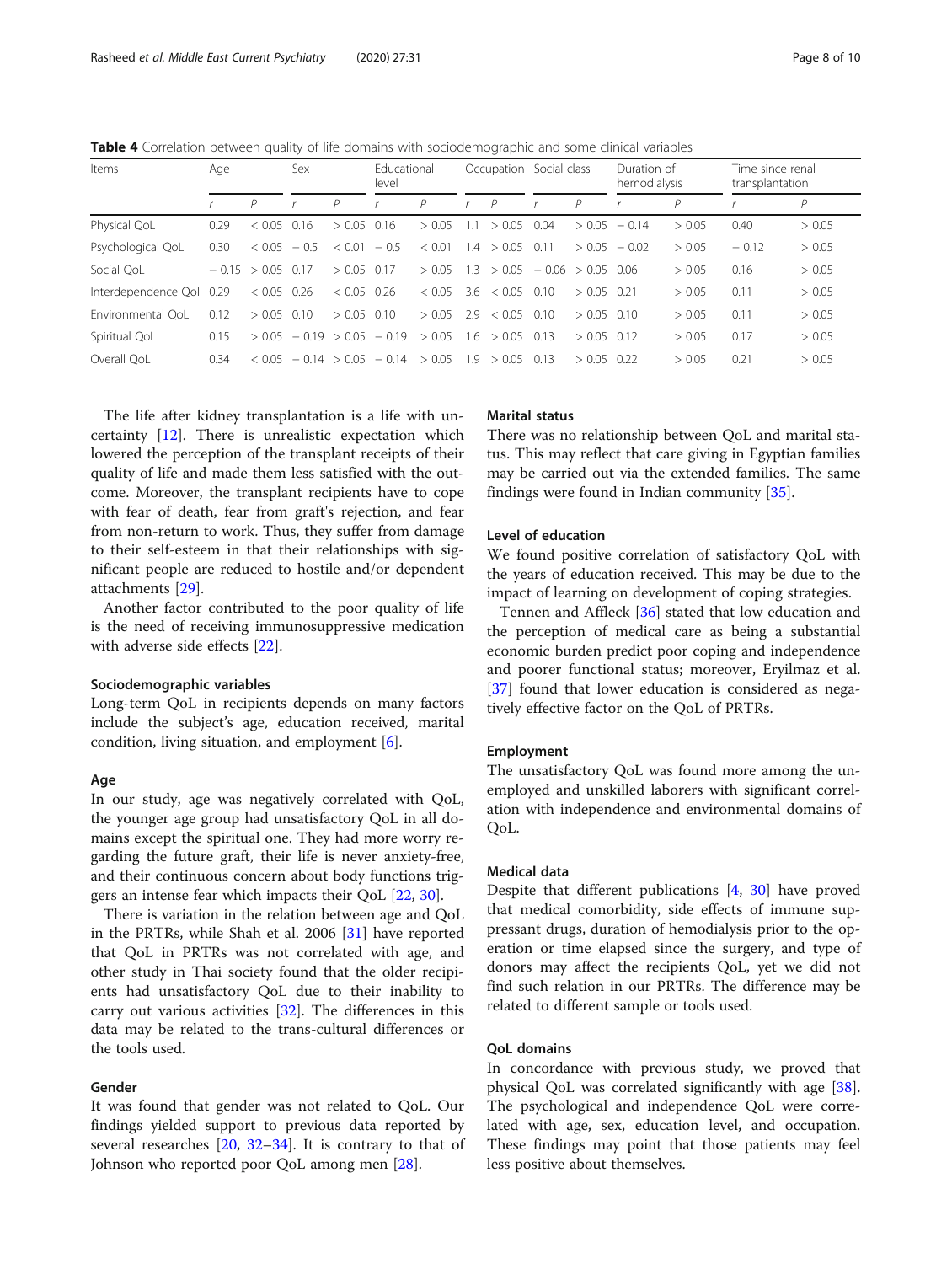<span id="page-7-0"></span>Table 4 Correlation between quality of life domains with sociodemographic and some clinical variables

| Items               | Age  |                     | Sex                    |               | Educational<br>level          |        |     | Occupation Social class |      |                     | Duration of<br>hemodialysis |        | Time since renal<br>transplantation |        |
|---------------------|------|---------------------|------------------------|---------------|-------------------------------|--------|-----|-------------------------|------|---------------------|-----------------------------|--------|-------------------------------------|--------|
|                     |      | Р                   |                        | Ρ             |                               | P      |     | $\mathcal{P}$           |      | P                   |                             | Р      |                                     | P      |
| Physical QoL        | 0.29 | < 0.05              | 0.16                   | $> 0.05$ 0.16 |                               | > 0.05 |     | > 0.05                  | 0.04 |                     | $> 0.05 - 0.14$             | > 0.05 | 0.40                                | > 0.05 |
| Psychological QoL   | 0.30 | $< 0.05 - 0.5$      |                        | < 0.01        | $-0.5$                        | < 0.01 |     | 1.4 > 0.05              | 0.11 |                     | $> 0.05 - 0.02$             | > 0.05 | $-0.12$                             | > 0.05 |
| Social OoL          |      | $-0.15$ > 0.05 0.17 |                        | $> 0.05$ 0.17 |                               | > 0.05 | 1.3 | > 0.05                  |      | $-0.06$ > 0.05 0.06 |                             | > 0.05 | 0.16                                | > 0.05 |
| Interdependence Ool | 0.29 | $< 0.05$ 0.26       |                        | $< 0.05$ 0.26 |                               | < 0.05 | 3.6 | < 0.05                  | 0.10 | $> 0.05$ 0.21       |                             | > 0.05 | 0.11                                | > 0.05 |
| Environmental OoL   | 0.12 | $> 0.05$ 0.10       |                        | $> 0.05$ 0.10 |                               | > 0.05 | 2.9 | < 0.05                  | 0.10 | $> 0.05$ 0.10       |                             | > 0.05 | 0.11                                | > 0.05 |
| Spiritual QoL       | 0.15 |                     | $> 0.05 - 0.19 > 0.05$ |               | $-0.19$                       | > 0.05 | l.6 | > 0.05                  | 0.13 | $> 0.05$ 0.12       |                             | > 0.05 | 0.17                                | > 0.05 |
| Overall OoL         | 0.34 |                     |                        |               | $< 0.05 - 0.14 > 0.05 - 0.14$ | > 0.05 |     | $1.9$ > 0.05 0.13       |      | $> 0.05$ 0.22       |                             | > 0.05 | 0.21                                | > 0.05 |

The life after kidney transplantation is a life with uncertainty [\[12](#page-8-0)]. There is unrealistic expectation which lowered the perception of the transplant receipts of their quality of life and made them less satisfied with the outcome. Moreover, the transplant recipients have to cope with fear of death, fear from graft's rejection, and fear from non-return to work. Thus, they suffer from damage to their self-esteem in that their relationships with significant people are reduced to hostile and/or dependent attachments [[29](#page-9-0)].

Another factor contributed to the poor quality of life is the need of receiving immunosuppressive medication with adverse side effects [[22\]](#page-8-0).

# Sociodemographic variables

Long-term QoL in recipients depends on many factors include the subject's age, education received, marital condition, living situation, and employment  $[6]$  $[6]$ .

# Age

In our study, age was negatively correlated with QoL, the younger age group had unsatisfactory QoL in all domains except the spiritual one. They had more worry regarding the future graft, their life is never anxiety-free, and their continuous concern about body functions triggers an intense fear which impacts their QoL [[22,](#page-8-0) [30\]](#page-9-0).

There is variation in the relation between age and QoL in the PRTRs, while Shah et al. 2006 [\[31\]](#page-9-0) have reported that QoL in PRTRs was not correlated with age, and other study in Thai society found that the older recipients had unsatisfactory QoL due to their inability to carry out various activities [[32](#page-9-0)]. The differences in this data may be related to the trans-cultural differences or the tools used.

# Gender

It was found that gender was not related to QoL. Our findings yielded support to previous data reported by several researches  $[20, 32-34]$  $[20, 32-34]$  $[20, 32-34]$  $[20, 32-34]$  $[20, 32-34]$  $[20, 32-34]$ . It is contrary to that of Johnson who reported poor QoL among men [\[28\]](#page-9-0).

# Marital status

There was no relationship between QoL and marital status. This may reflect that care giving in Egyptian families may be carried out via the extended families. The same findings were found in Indian community [\[35](#page-9-0)].

# Level of education

We found positive correlation of satisfactory QoL with the years of education received. This may be due to the impact of learning on development of coping strategies.

Tennen and Affleck [[36](#page-9-0)] stated that low education and the perception of medical care as being a substantial economic burden predict poor coping and independence and poorer functional status; moreover, Eryilmaz et al. [[37\]](#page-9-0) found that lower education is considered as negatively effective factor on the QoL of PRTRs.

# Employment

The unsatisfactory QoL was found more among the unemployed and unskilled laborers with significant correlation with independence and environmental domains of QoL.

# Medical data

Despite that different publications [[4,](#page-8-0) [30](#page-9-0)] have proved that medical comorbidity, side effects of immune suppressant drugs, duration of hemodialysis prior to the operation or time elapsed since the surgery, and type of donors may affect the recipients QoL, yet we did not find such relation in our PRTRs. The difference may be related to different sample or tools used.

# QoL domains

In concordance with previous study, we proved that physical QoL was correlated significantly with age [\[38](#page-9-0)]. The psychological and independence QoL were correlated with age, sex, education level, and occupation. These findings may point that those patients may feel less positive about themselves.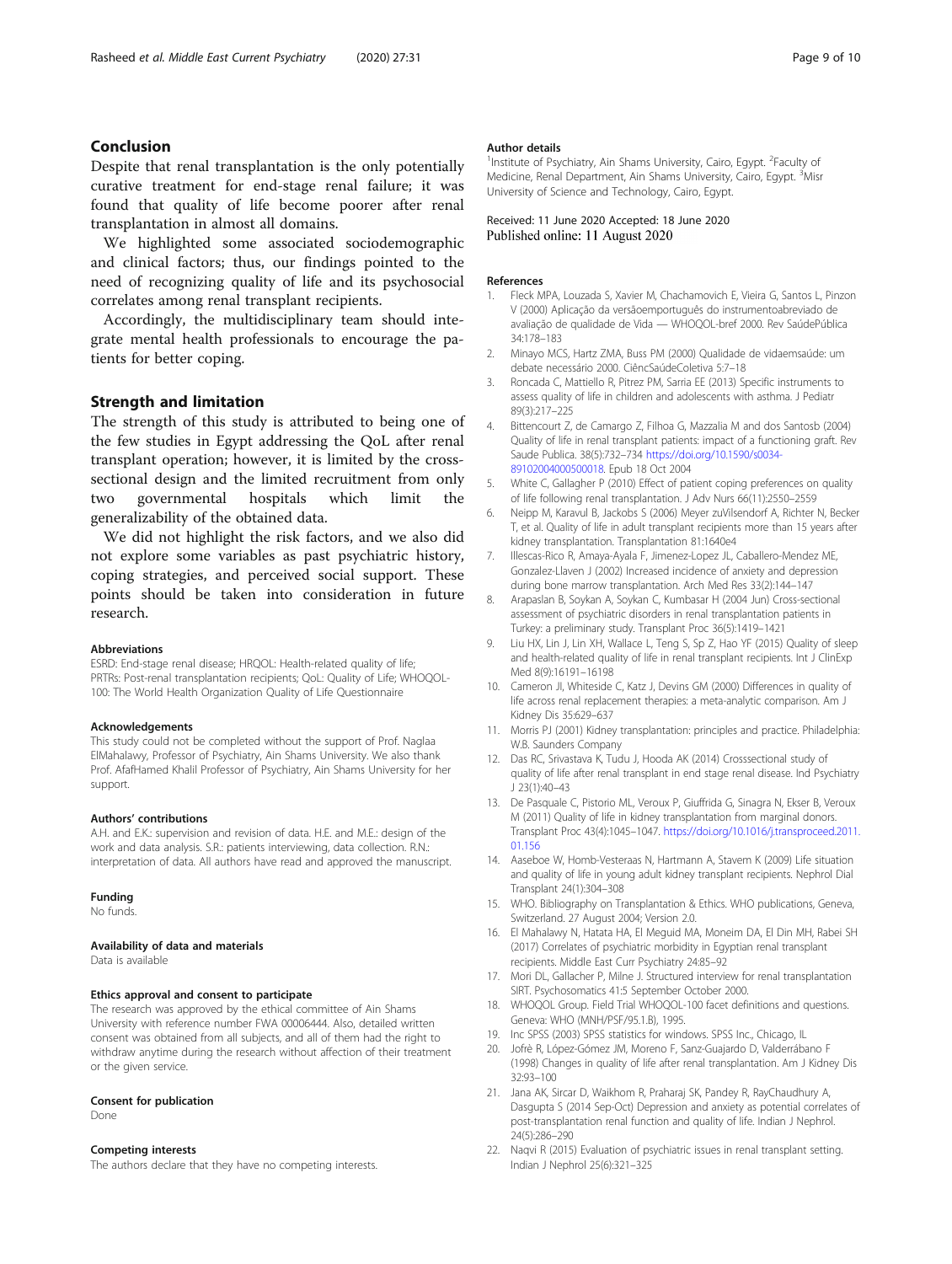# <span id="page-8-0"></span>Conclusion

Despite that renal transplantation is the only potentially curative treatment for end-stage renal failure; it was found that quality of life become poorer after renal transplantation in almost all domains.

We highlighted some associated sociodemographic and clinical factors; thus, our findings pointed to the need of recognizing quality of life and its psychosocial correlates among renal transplant recipients.

Accordingly, the multidisciplinary team should integrate mental health professionals to encourage the patients for better coping.

# Strength and limitation

The strength of this study is attributed to being one of the few studies in Egypt addressing the QoL after renal transplant operation; however, it is limited by the crosssectional design and the limited recruitment from only two governmental hospitals which limit the generalizability of the obtained data.

We did not highlight the risk factors, and we also did not explore some variables as past psychiatric history, coping strategies, and perceived social support. These points should be taken into consideration in future research.

#### Abbreviations

ESRD: End-stage renal disease; HRQOL: Health-related quality of life; PRTRs: Post-renal transplantation recipients; QoL: Quality of Life; WHOQOL-100: The World Health Organization Quality of Life Questionnaire

#### Acknowledgements

This study could not be completed without the support of Prof. Naglaa ElMahalawy, Professor of Psychiatry, Ain Shams University. We also thank Prof. AfafHamed Khalil Professor of Psychiatry, Ain Shams University for her support.

#### Authors' contributions

A.H. and E.K.: supervision and revision of data. H.E. and M.E.: design of the work and data analysis. S.R.: patients interviewing, data collection. R.N.: interpretation of data. All authors have read and approved the manuscript.

#### Funding

No funds.

# Availability of data and materials

Data is available

# Ethics approval and consent to participate

The research was approved by the ethical committee of Ain Shams University with reference number FWA 00006444. Also, detailed written consent was obtained from all subjects, and all of them had the right to withdraw anytime during the research without affection of their treatment or the given service.

#### Consent for publication

Done

# Competing interests

The authors declare that they have no competing interests.

### Author details

<sup>1</sup> Institute of Psychiatry, Ain Shams University, Cairo, Egypt. <sup>2</sup>Faculty of Medicine, Renal Department, Ain Shams University, Cairo, Egypt. <sup>3</sup>Misr University of Science and Technology, Cairo, Egypt.

Received: 11 June 2020 Accepted: 18 June 2020 Published online: 11 August 2020

#### References

- 1. Fleck MPA, Louzada S, Xavier M, Chachamovich E, Vieira G, Santos L, Pinzon V (2000) Aplicação da versãoemportuguês do instrumentoabreviado de avaliação de qualidade de Vida — WHOQOL-bref 2000. Rev SaúdePública 34:178–183
- 2. Minayo MCS, Hartz ZMA, Buss PM (2000) Qualidade de vidaemsaúde: um debate necessário 2000. CiêncSaúdeColetiva 5:7–18
- 3. Roncada C, Mattiello R, Pitrez PM, Sarria EE (2013) Specific instruments to assess quality of life in children and adolescents with asthma. J Pediatr 89(3):217–225
- 4. Bittencourt Z, de Camargo Z, Filhoa G, Mazzalia M and dos Santosb (2004) Quality of life in renal transplant patients: impact of a functioning graft. Rev Saude Publica. 38(5):732–734 [https://doi.org/10.1590/s0034-](https://doi.org/10.1590/s0034-89102004000500018) [89102004000500018.](https://doi.org/10.1590/s0034-89102004000500018) Epub 18 Oct 2004
- 5. White C, Gallagher P (2010) Effect of patient coping preferences on quality of life following renal transplantation. J Adv Nurs 66(11):2550–2559
- 6. Neipp M, Karavul B, Jackobs S (2006) Meyer zuVilsendorf A, Richter N, Becker T, et al. Quality of life in adult transplant recipients more than 15 years after kidney transplantation. Transplantation 81:1640e4
- 7. Illescas-Rico R, Amaya-Ayala F, Jimenez-Lopez JL, Caballero-Mendez ME, Gonzalez-Llaven J (2002) Increased incidence of anxiety and depression during bone marrow transplantation. Arch Med Res 33(2):144–147
- 8. Arapaslan B, Soykan A, Soykan C, Kumbasar H (2004 Jun) Cross-sectional assessment of psychiatric disorders in renal transplantation patients in Turkey: a preliminary study. Transplant Proc 36(5):1419–1421
- 9. Liu HX, Lin J, Lin XH, Wallace L, Teng S, Sp Z, Hao YF (2015) Quality of sleep and health-related quality of life in renal transplant recipients. Int J ClinExp Med 8(9):16191–16198
- 10. Cameron JI, Whiteside C, Katz J, Devins GM (2000) Differences in quality of life across renal replacement therapies: a meta-analytic comparison. Am J Kidney Dis 35:629–637
- 11. Morris PJ (2001) Kidney transplantation: principles and practice. Philadelphia: W.B. Saunders Company
- 12. Das RC, Srivastava K, Tudu J, Hooda AK (2014) Crosssectional study of quality of life after renal transplant in end stage renal disease. Ind Psychiatry J 23(1):40–43
- 13. De Pasquale C, Pistorio ML, Veroux P, Giuffrida G, Sinagra N, Ekser B, Veroux M (2011) Quality of life in kidney transplantation from marginal donors. Transplant Proc 43(4):1045–1047. [https://doi.org/10.1016/j.transproceed.2011.](https://doi.org/10.1016/j.transproceed.2011.01.156) [01.156](https://doi.org/10.1016/j.transproceed.2011.01.156)
- 14. Aaseboe W, Homb-Vesteraas N, Hartmann A, Stavem K (2009) Life situation and quality of life in young adult kidney transplant recipients. Nephrol Dial Transplant 24(1):304–308
- 15. WHO. Bibliography on Transplantation & Ethics. WHO publications, Geneva, Switzerland. 27 August 2004; Version 2.0.
- 16. El Mahalawy N, Hatata HA, El Meguid MA, Moneim DA, El Din MH, Rabei SH (2017) Correlates of psychiatric morbidity in Egyptian renal transplant recipients. Middle East Curr Psychiatry 24:85–92
- 17. Mori DL, Gallacher P, Milne J. Structured interview for renal transplantation SIRT. Psychosomatics 41:5 September October 2000.
- 18. WHOQOL Group. Field Trial WHOQOL-100 facet definitions and questions. Geneva: WHO (MNH/PSF/95.1.B), 1995.
- 19. Inc SPSS (2003) SPSS statistics for windows. SPSS Inc., Chicago, IL
- 20. Jofrè R, López-Gómez JM, Moreno F, Sanz-Guajardo D, Valderrábano F (1998) Changes in quality of life after renal transplantation. Am J Kidney Dis 32:93–100
- 21. Jana AK, Sircar D, Waikhom R, Praharaj SK, Pandey R, RayChaudhury A, Dasgupta S (2014 Sep-Oct) Depression and anxiety as potential correlates of post-transplantation renal function and quality of life. Indian J Nephrol. 24(5):286–290
- 22. Naqvi R (2015) Evaluation of psychiatric issues in renal transplant setting. Indian J Nephrol 25(6):321–325